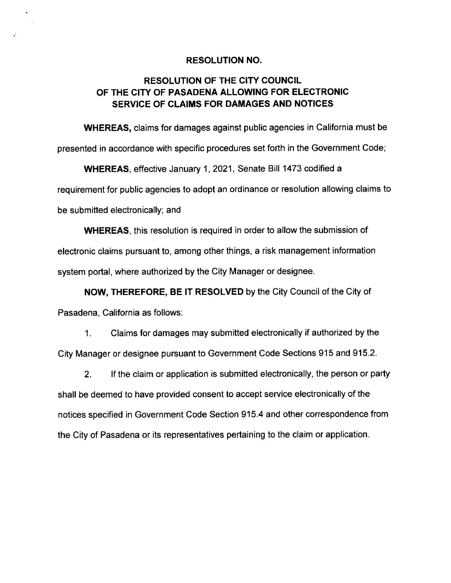## **RESOLUTION NO.**

 $\bullet$ 

## **RESOLUTION OF THE CITY COUNCIL OF THE CITY OF PASADENA ALLOWING FOR ELECTRONIC SERVICE OF CLAIMS FOR DAMAGES AND NOTICES**

**WHEREAS,** claims for damages against public agencies in California must be presented in accordance with specific procedures set forth in the Government Code;

**WHEREAS,** effective January 1, 2021, Senate Bill 1473 codified a requirement for public agencies to adopt an ordinance or resolution allowing claims to be submitted electronically; and

**WHEREAS,** this resolution is required in order to allow the submission of electronic claims pursuant to, among other things, a risk management information system portal, where authorized by the City Manager or designee.

**NOW, THEREFORE, BE** IT **RESOLVED** by the City Council of the City of Pasadena, California as follows:

1. Claims for damages may submitted electronically if authorized by the City Manager or designee pursuant to Government Code Sections 915 and 915.2.

2. If the claim or application is submitted electronically, the person or party shall be deemed to have provided consent to accept service electronically of the notices specified in Government Code Section 915.4 and other correspondence from the City of Pasadena or its representatives pertaining to the claim or application.